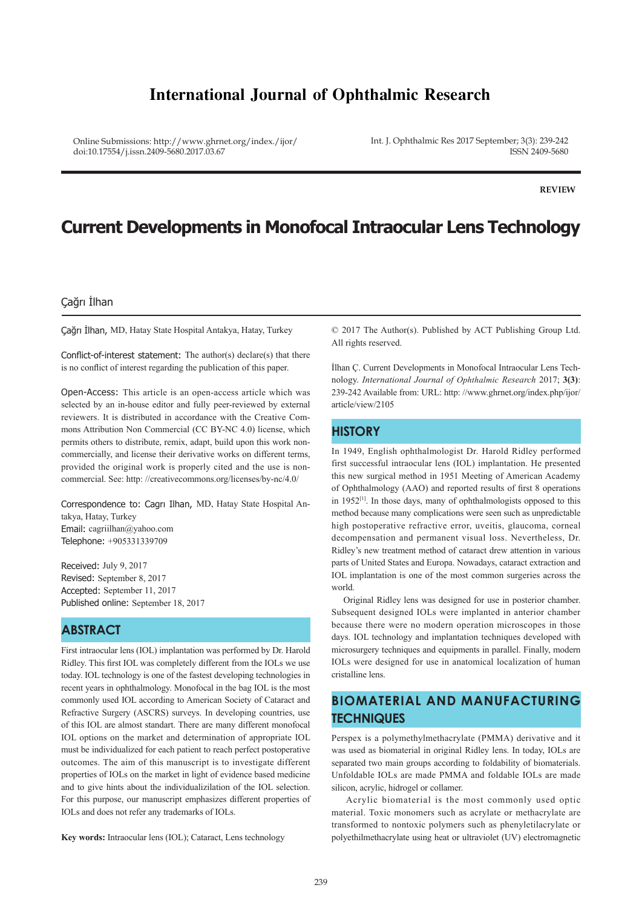## **International Journal of Ophthalmic Research**

Online Submissions: http://www.ghrnet.org/index./ijor/ doi:10.17554/j.issn.2409-5680.2017.03.67

Int. J. Ophthalmic Res 2017 September; 3(3): 239-242 ISSN 2409-5680

**REVIEW**

# **Current Developments in Monofocal Intraocular Lens Technology**

### Çağrı İlhan

Çağrı İlhan, MD, Hatay State Hospital Antakya, Hatay, Turkey

Conflict-of-interest statement: The author(s) declare(s) that there is no conflict of interest regarding the publication of this paper.

Open-Access: This article is an open-access article which was selected by an in-house editor and fully peer-reviewed by external reviewers. It is distributed in accordance with the Creative Commons Attribution Non Commercial (CC BY-NC 4.0) license, which permits others to distribute, remix, adapt, build upon this work noncommercially, and license their derivative works on different terms, provided the original work is properly cited and the use is noncommercial. See: http: //creativecommons.org/licenses/by-nc/4.0/

Correspondence to: Cagrı Ilhan, MD, Hatay State Hospital Antakya, Hatay, Turkey Email: cagriilhan@yahoo.com Telephone: +905331339709

Received: July 9, 2017 Revised: September 8, 2017 Accepted: September 11, 2017 Published online: September 18, 2017

### **ABSTRACT**

First intraocular lens (IOL) implantation was performed by Dr. Harold Ridley. This first IOL was completely different from the IOLs we use today. IOL technology is one of the fastest developing technologies in recent years in ophthalmology. Monofocal in the bag IOL is the most commonly used IOL according to American Society of Cataract and Refractive Surgery (ASCRS) surveys. In developing countries, use of this IOL are almost standart. There are many different monofocal IOL options on the market and determination of appropriate IOL must be individualized for each patient to reach perfect postoperative outcomes. The aim of this manuscript is to investigate different properties of IOLs on the market in light of evidence based medicine and to give hints about the individualizilation of the IOL selection. For this purpose, our manuscript emphasizes different properties of IOLs and does not refer any trademarks of IOLs.

**Key words:** Intraocular lens (IOL); Cataract, Lens technology

© 2017 The Author(s). Published by ACT Publishing Group Ltd. All rights reserved.

İlhan Ç. Current Developments in Monofocal Intraocular Lens Technology. *International Journal of Ophthalmic Research* 2017; **3(3)**: 239-242 Available from: URL: http: //www.ghrnet.org/index.php/ijor/ article/view/2105

### **HISTORY**

In 1949, English ophthalmologist Dr. Harold Ridley performed first successful intraocular lens (IOL) implantation. He presented this new surgical method in 1951 Meeting of American Academy of Ophthalmology (AAO) and reported results of first 8 operations in 1952[1]. In those days, many of ophthalmologists opposed to this method because many complications were seen such as unpredictable high postoperative refractive error, uveitis, glaucoma, corneal decompensation and permanent visual loss. Nevertheless, Dr. Ridley's new treatment method of cataract drew attention in various parts of United States and Europa. Nowadays, cataract extraction and IOL implantation is one of the most common surgeries across the world.

 Original Ridley lens was designed for use in posterior chamber. Subsequent designed IOLs were implanted in anterior chamber because there were no modern operation microscopes in those days. IOL technology and implantation techniques developed with microsurgery techniques and equipments in parallel. Finally, modern IOLs were designed for use in anatomical localization of human cristalline lens.

### **BIOMATERIAL AND MANUFACTURING TECHNIQUES**

Perspex is a polymethylmethacrylate (PMMA) derivative and it was used as biomaterial in original Ridley lens. In today, IOLs are separated two main groups according to foldability of biomaterials. Unfoldable IOLs are made PMMA and foldable IOLs are made silicon, acrylic, hidrogel or collamer.

 Acrylic biomaterial is the most commonly used optic material. Toxic monomers such as acrylate or methacrylate are transformed to nontoxic polymers such as phenyletilacrylate or polyethilmethacrylate using heat or ultraviolet (UV) electromagnetic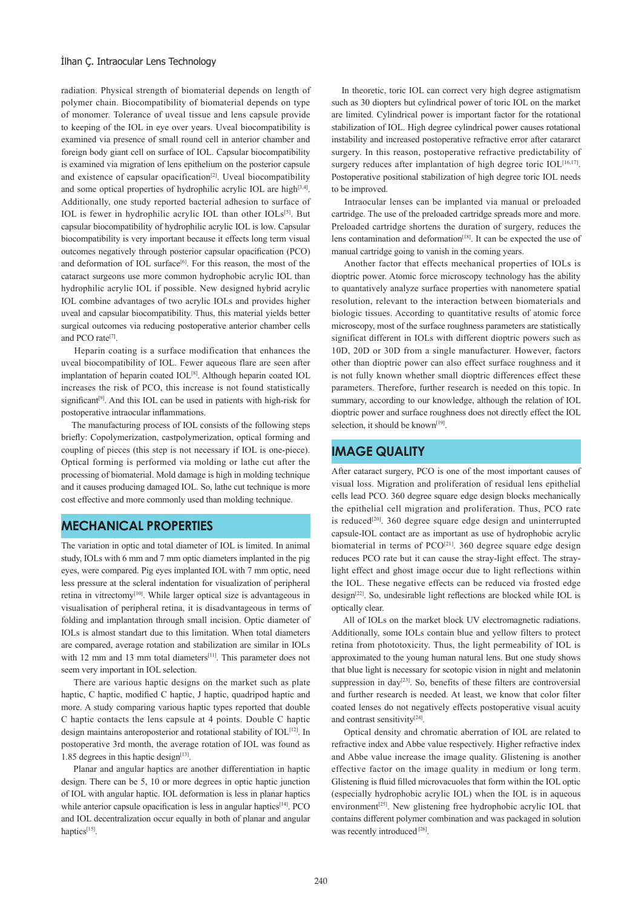#### Ilhan Ç. Intraocular Lens Technology

radiation. Physical strength of biomaterial depends on length of polymer chain. Biocompatibility of biomaterial depends on type of monomer. Tolerance of uveal tissue and lens capsule provide to keeping of the IOL in eye over years. Uveal biocompatibility is examined via presence of small round cell in anterior chamber and foreign body giant cell on surface of IOL. Capsular biocompatibility is examined via migration of lens epithelium on the posterior capsule and existence of capsular opacification<sup>[2]</sup>. Uveal biocompatibility and some optical properties of hydrophilic acrylic IOL are high<sup>[3,4]</sup>. Additionally, one study reported bacterial adhesion to surface of IOL is fewer in hydrophilic acrylic IOL than other IOLs<sup>[5]</sup>. But capsular biocompatibility of hydrophilic acrylic IOL is low. Capsular biocompatibility is very important because it effects long term visual outcomes negatively through posterior capsular opacification (PCO) and deformation of IOL surface<sup>[6]</sup>. For this reason, the most of the cataract surgeons use more common hydrophobic acrylic IOL than hydrophilic acrylic IOL if possible. New designed hybrid acrylic IOL combine advantages of two acrylic IOLs and provides higher uveal and capsular biocompatibility. Thus, this material yields better surgical outcomes via reducing postoperative anterior chamber cells and PCO rate<sup>[7]</sup>.

 Heparin coating is a surface modification that enhances the uveal biocompatibility of IOL. Fewer aqueous flare are seen after implantation of heparin coated IOL<sup>[8]</sup>. Although heparin coated IOL increases the risk of PCO, this increase is not found statistically significant<sup>[9]</sup>. And this IOL can be used in patients with high-risk for postoperative intraocular inflammations.

 The manufacturing process of IOL consists of the following steps briefly: Copolymerization, castpolymerization, optical forming and coupling of pieces (this step is not necessary if IOL is one-piece). Optical forming is performed via molding or lathe cut after the processing of biomaterial. Mold damage is high in molding technique and it causes producing damaged IOL. So, lathe cut technique is more cost effective and more commonly used than molding technique.

### **MECHANICAL PROPERTIES**

The variation in optic and total diameter of IOL is limited. In animal study, IOLs with 6 mm and 7 mm optic diameters implanted in the pig eyes, were compared. Pig eyes implanted IOL with 7 mm optic, need less pressure at the scleral indentation for visualization of peripheral retina in vitrectomy<sup>[10]</sup>. While larger optical size is advantageous in visualisation of peripheral retina, it is disadvantageous in terms of folding and implantation through small incision. Optic diameter of IOLs is almost standart due to this limitation. When total diameters are compared, average rotation and stabilization are similar in IOLs with 12 mm and 13 mm total diameters<sup>[11]</sup>. This parameter does not seem very important in IOL selection.

 There are various haptic designs on the market such as plate haptic, C haptic, modified C haptic, J haptic, quadripod haptic and more. A study comparing various haptic types reported that double C haptic contacts the lens capsule at 4 points. Double C haptic design maintains anteroposterior and rotational stability of IOL<sup>[12]</sup>. In postoperative 3rd month, the average rotation of IOL was found as 1.85 degrees in this haptic design $[13]$ .

 Planar and angular haptics are another differentiation in haptic design. There can be 5, 10 or more degrees in optic haptic junction of IOL with angular haptic. IOL deformation is less in planar haptics while anterior capsule opacification is less in angular haptics<sup>[14]</sup>. PCO and IOL decentralization occur equally in both of planar and angular haptics[15].

 In theoretic, toric IOL can correct very high degree astigmatism such as 30 diopters but cylindrical power of toric IOL on the market are limited. Cylindrical power is important factor for the rotational stabilization of IOL. High degree cylindrical power causes rotational instability and increased postoperative refractive error after catararct surgery. In this reason, postoperative refractive predictability of surgery reduces after implantation of high degree toric  $IOL^{[16,17]}$ . Postoperative positional stabilization of high degree toric IOL needs to be improved.

 Intraocular lenses can be implanted via manual or preloaded cartridge. The use of the preloaded cartridge spreads more and more. Preloaded cartridge shortens the duration of surgery, reduces the lens contamination and deformation<sup>[18]</sup>. It can be expected the use of manual cartridge going to vanish in the coming years.

 Another factor that effects mechanical properties of IOLs is dioptric power. Atomic force microscopy technology has the ability to quantatively analyze surface properties with nanometere spatial resolution, relevant to the interaction between biomaterials and biologic tissues. According to quantitative results of atomic force microscopy, most of the surface roughness parameters are statistically significat different in IOLs with different dioptric powers such as 10D, 20D or 30D from a single manufacturer. However, factors other than dioptric power can also effect surface roughness and it is not fully known whether small dioptric differences effect these parameters. Therefore, further research is needed on this topic. In summary, according to our knowledge, although the relation of IOL dioptric power and surface roughness does not directly effect the IOL selection, it should be known<sup>[19]</sup>.

### **IMAGE QUALITY**

After cataract surgery, PCO is one of the most important causes of visual loss. Migration and proliferation of residual lens epithelial cells lead PCO. 360 degree square edge design blocks mechanically the epithelial cell migration and proliferation. Thus, PCO rate is reduced<sup>[20]</sup>. 360 degree square edge design and uninterrupted capsule-IOL contact are as important as use of hydrophobic acrylic biomaterial in terms of PCO<sup>[21]</sup>. 360 degree square edge design reduces PCO rate but it can cause the stray-light effect. The straylight effect and ghost image occur due to light reflections within the IOL. These negative effects can be reduced via frosted edge design[22]. So, undesirable light reflections are blocked while IOL is optically clear.

 All of IOLs on the market block UV electromagnetic radiations. Additionally, some IOLs contain blue and yellow filters to protect retina from phototoxicity. Thus, the light permeability of IOL is approximated to the young human natural lens. But one study shows that blue light is necessary for scotopic vision in night and melatonin suppression in day<sup>[23]</sup>. So, benefits of these filters are controversial and further research is needed. At least, we know that color filter coated lenses do not negatively effects postoperative visual acuity and contrast sensitivity<sup>[24]</sup>.

 Optical density and chromatic aberration of IOL are related to refractive index and Abbe value respectively. Higher refractive index and Abbe value increase the image quality. Glistening is another effective factor on the image quality in medium or long term. Glistening is fluid filled microvacuoles that form within the IOL optic (especially hydrophobic acrylic IOL) when the IOL is in aqueous environment<sup>[25]</sup>. New glistening free hydrophobic acrylic IOL that contains different polymer combination and was packaged in solution was recently introduced [26].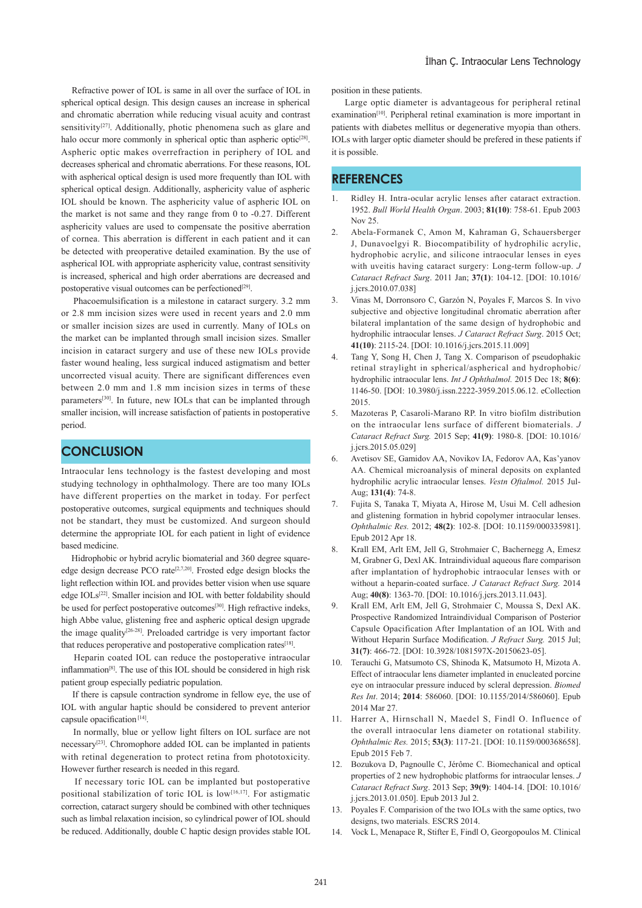Refractive power of IOL is same in all over the surface of IOL in spherical optical design. This design causes an increase in spherical and chromatic aberration while reducing visual acuity and contrast sensitivity<sup>[27]</sup>. Additionally, photic phenomena such as glare and halo occur more commonly in spherical optic than aspheric optic<sup>[28]</sup>. Aspheric optic makes overrefraction in periphery of IOL and decreases spherical and chromatic aberrations. For these reasons, IOL with aspherical optical design is used more frequently than IOL with spherical optical design. Additionally, asphericity value of aspheric IOL should be known. The asphericity value of aspheric IOL on the market is not same and they range from 0 to -0.27. Different asphericity values are used to compensate the positive aberration of cornea. This aberration is different in each patient and it can be detected with preoperative detailed examination. By the use of aspherical IOL with appropriate asphericity value, contrast sensitivity is increased, spherical and high order aberrations are decreased and postoperative visual outcomes can be perfectioned<sup>[29]</sup>.

 Phacoemulsification is a milestone in cataract surgery. 3.2 mm or 2.8 mm incision sizes were used in recent years and 2.0 mm or smaller incision sizes are used in currently. Many of IOLs on the market can be implanted through small incision sizes. Smaller incision in cataract surgery and use of these new IOLs provide faster wound healing, less surgical induced astigmatism and better uncorrected visual acuity. There are significant differences even between 2.0 mm and 1.8 mm incision sizes in terms of these parameters<sup>[30]</sup>. In future, new IOLs that can be implanted through smaller incision, will increase satisfaction of patients in postoperative period.

### **CONCLUSION**

Intraocular lens technology is the fastest developing and most studying technology in ophthalmology. There are too many IOLs have different properties on the market in today. For perfect postoperative outcomes, surgical equipments and techniques should not be standart, they must be customized. And surgeon should determine the appropriate IOL for each patient in light of evidence based medicine.

 Hidrophobic or hybrid acrylic biomaterial and 360 degree squareedge design decrease PCO rate<sup>[2,7,20]</sup>. Frosted edge design blocks the light reflection within IOL and provides better vision when use square edge IOLs<sup>[22]</sup>. Smaller incision and IOL with better foldability should be used for perfect postoperative outcomes<sup>[30]</sup>. High refractive indeks, high Abbe value, glistening free and aspheric optical design upgrade the image quality $[26-28]$ . Preloaded cartridge is very important factor that reduces peroperative and postoperative complication rates<sup>[18]</sup>.

 Heparin coated IOL can reduce the postoperative intraocular inflammation[8]. The use of this IOL should be considered in high risk patient group especially pediatric population.

 If there is capsule contraction syndrome in fellow eye, the use of IOL with angular haptic should be considered to prevent anterior capsule opacification [14].

 In normally, blue or yellow light filters on IOL surface are not necessary[23]. Chromophore added IOL can be implanted in patients with retinal degeneration to protect retina from phototoxicity. However further research is needed in this regard.

 If necessary toric IOL can be implanted but postoperative positional stabilization of toric IOL is low<sup>[16,17]</sup>. For astigmatic correction, cataract surgery should be combined with other techniques such as limbal relaxation incision, so cylindrical power of IOL should be reduced. Additionally, double C haptic design provides stable IOL position in these patients.

 Large optic diameter is advantageous for peripheral retinal examination<sup>[10]</sup>. Peripheral retinal examination is more important in patients with diabetes mellitus or degenerative myopia than others. IOLs with larger optic diameter should be prefered in these patients if it is possible.

### **REFERENCES**

- 1. Ridley H. Intra-ocular acrylic lenses after cataract extraction. 1952. *Bull World Health Organ*. 2003; **81(10)**: 758-61. Epub 2003 Nov 25.
- 2. Abela-Formanek C, Amon M, Kahraman G, Schauersberger J, Dunavoelgyi R. Biocompatibility of hydrophilic acrylic, hydrophobic acrylic, and silicone intraocular lenses in eyes with uveitis having cataract surgery: Long-term follow-up. *J Cataract Refract Surg*. 2011 Jan; **37(1)**: 104-12. [DOI: 10.1016/ j.jcrs.2010.07.038]
- 3. Vinas M, Dorronsoro C, Garzón N, Poyales F, Marcos S. In vivo subjective and objective longitudinal chromatic aberration after bilateral implantation of the same design of hydrophobic and hydrophilic intraocular lenses. *J Cataract Refract Surg*. 2015 Oct; **41(10)**: 2115-24. [DOI: 10.1016/j.jcrs.2015.11.009]
- Tang Y, Song H, Chen J, Tang X. Comparison of pseudophakic retinal straylight in spherical/aspherical and hydrophobic/ hydrophilic intraocular lens. *Int J Ophthalmol.* 2015 Dec 18; **8(6)**: 1146-50. [DOI: 10.3980/j.issn.2222-3959.2015.06.12. eCollection 2015.
- 5. Mazoteras P, Casaroli-Marano RP. In vitro biofilm distribution on the intraocular lens surface of different biomaterials. *J Cataract Refract Surg.* 2015 Sep; **41(9)**: 1980-8. [DOI: 10.1016/ j.jcrs.2015.05.029]
- 6. Avetisov SE, Gamidov AA, Novikov IA, Fedorov AA, Kas'yanov AA. Chemical microanalysis of mineral deposits on explanted hydrophilic acrylic intraocular lenses. *Vestn Oftalmol.* 2015 Jul-Aug; **131(4)**: 74-8.
- 7. Fujita S, Tanaka T, Miyata A, Hirose M, Usui M. Cell adhesion and glistening formation in hybrid copolymer intraocular lenses. *Ophthalmic Res.* 2012; **48(2)**: 102-8. [DOI: 10.1159/000335981]. Epub 2012 Apr 18.
- 8. Krall EM, Arlt EM, Jell G, Strohmaier C, Bachernegg A, Emesz M, Grabner G, Dexl AK. Intraindividual aqueous flare comparison after implantation of hydrophobic intraocular lenses with or without a heparin-coated surface. *J Cataract Refract Surg.* 2014 Aug; **40(8)**: 1363-70. [DOI: 10.1016/j.jcrs.2013.11.043].
- 9. Krall EM, Arlt EM, Jell G, Strohmaier C, Moussa S, Dexl AK. Prospective Randomized Intraindividual Comparison of Posterior Capsule Opacification After Implantation of an IOL With and Without Heparin Surface Modification. *J Refract Surg.* 2015 Jul; **31(7)**: 466-72. [DOI: 10.3928/1081597X-20150623-05].
- 10. Terauchi G, Matsumoto CS, Shinoda K, Matsumoto H, Mizota A. Effect of intraocular lens diameter implanted in enucleated porcine eye on intraocular pressure induced by scleral depression. *Biomed Res Int*. 2014; **2014**: 586060. [DOI: 10.1155/2014/586060]. Epub 2014 Mar 27.
- 11. Harrer A, Hirnschall N, Maedel S, Findl O. Influence of the overall intraocular lens diameter on rotational stability. *Ophthalmic Res.* 2015; **53(3)**: 117-21. [DOI: 10.1159/000368658]. Epub 2015 Feb 7.
- 12. Bozukova D, Pagnoulle C, Jérôme C. Biomechanical and optical properties of 2 new hydrophobic platforms for intraocular lenses. *J Cataract Refract Surg*. 2013 Sep; **39(9)**: 1404-14. [DOI: 10.1016/ j.jcrs.2013.01.050]. Epub 2013 Jul 2.
- 13. Poyales F. Comparision of the two IOLs with the same optics, two designs, two materials. ESCRS 2014.
- 14. Vock L, Menapace R, Stifter E, Findl O, Georgopoulos M. Clinical